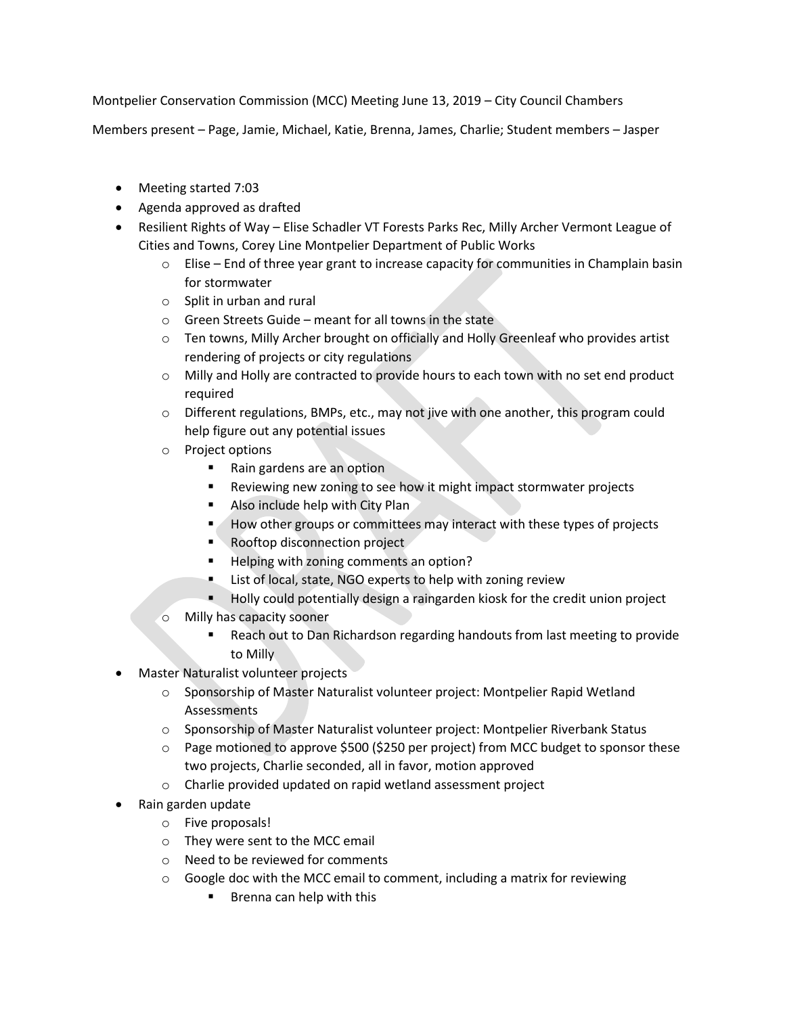Montpelier Conservation Commission (MCC) Meeting June 13, 2019 – City Council Chambers

Members present – Page, Jamie, Michael, Katie, Brenna, James, Charlie; Student members – Jasper

- Meeting started 7:03
- Agenda approved as drafted
- Resilient Rights of Way Elise Schadler VT Forests Parks Rec, Milly Archer Vermont League of Cities and Towns, Corey Line Montpelier Department of Public Works
	- $\circ$  Elise End of three year grant to increase capacity for communities in Champlain basin for stormwater
	- o Split in urban and rural
	- o Green Streets Guide meant for all towns in the state
	- o Ten towns, Milly Archer brought on officially and Holly Greenleaf who provides artist rendering of projects or city regulations
	- $\circ$  Milly and Holly are contracted to provide hours to each town with no set end product required
	- o Different regulations, BMPs, etc., may not jive with one another, this program could help figure out any potential issues
	- o Project options
		- Rain gardens are an option
		- **Reviewing new zoning to see how it might impact stormwater projects**
		- Also include help with City Plan
		- How other groups or committees may interact with these types of projects
		- Rooftop disconnection project
		- Helping with zoning comments an option?
		- **EXECT** List of local, state, NGO experts to help with zoning review
		- **Holly could potentially design a raingarden kiosk for the credit union project**
	- o Milly has capacity sooner
		- Reach out to Dan Richardson regarding handouts from last meeting to provide to Milly
- Master Naturalist volunteer projects
	- o Sponsorship of Master Naturalist volunteer project: Montpelier Rapid Wetland Assessments
	- o Sponsorship of Master Naturalist volunteer project: Montpelier Riverbank Status
	- $\circ$  Page motioned to approve \$500 (\$250 per project) from MCC budget to sponsor these two projects, Charlie seconded, all in favor, motion approved
	- o Charlie provided updated on rapid wetland assessment project
- Rain garden update
	- o Five proposals!
	- o They were sent to the MCC email
	- o Need to be reviewed for comments
	- $\circ$  Google doc with the MCC email to comment, including a matrix for reviewing
		- **Brenna can help with this**